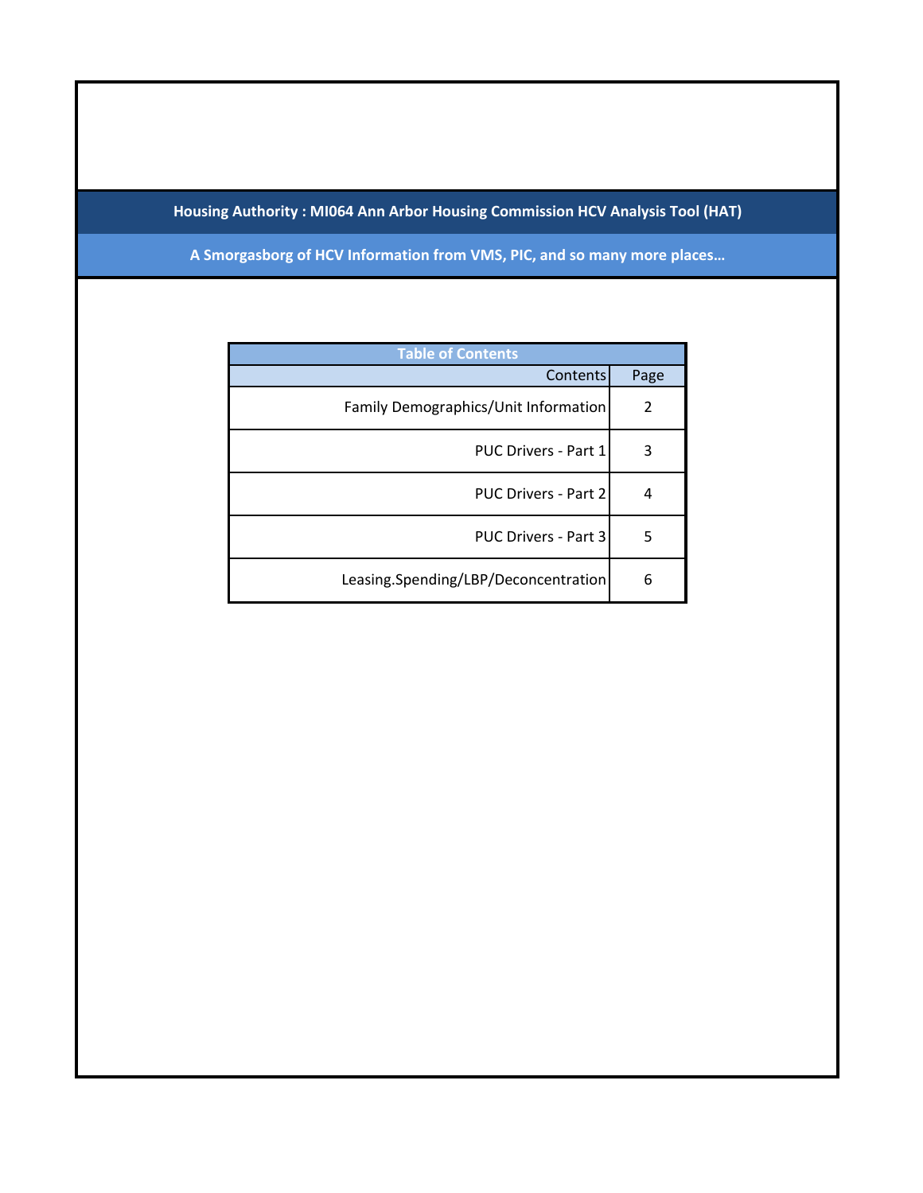## **Housing Authority : MI064 Ann Arbor Housing Commission HCV Analysis Tool (HAT)**

**A Smorgasborg of HCV Information from VMS, PIC, and so many more places…**

| <b>Table of Contents</b>             |                |  |  |  |  |  |
|--------------------------------------|----------------|--|--|--|--|--|
| Contents                             | Page           |  |  |  |  |  |
| Family Demographics/Unit Information | $\mathfrak{p}$ |  |  |  |  |  |
| <b>PUC Drivers - Part 1</b>          | 3              |  |  |  |  |  |
| PUC Drivers - Part 2                 | 4              |  |  |  |  |  |
| PUC Drivers - Part 3                 | 5              |  |  |  |  |  |
| Leasing.Spending/LBP/Deconcentration | 6              |  |  |  |  |  |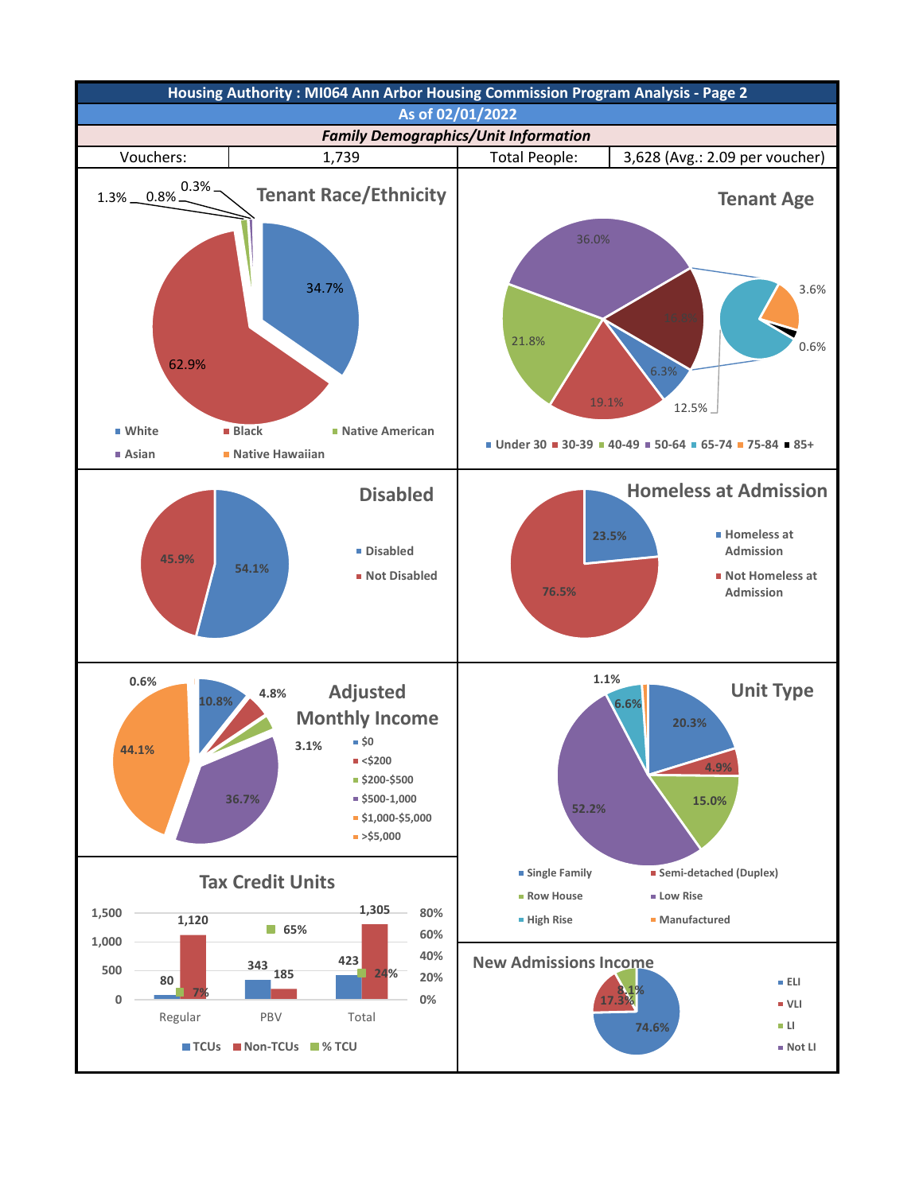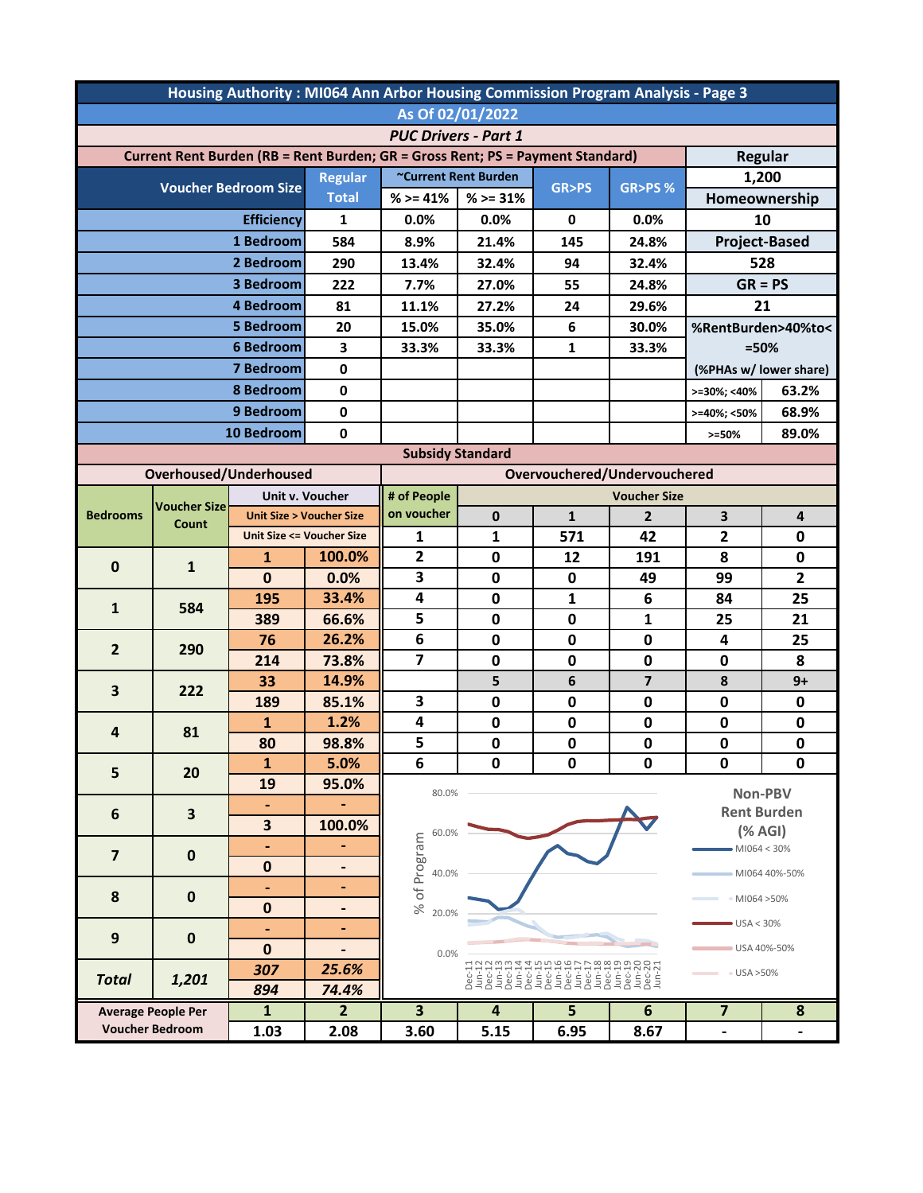| Housing Authority: MI064 Ann Arbor Housing Commission Program Analysis - Page 3                  |                           |                                     |                                    |                         |                 |                  |                              |                              |                    |  |
|--------------------------------------------------------------------------------------------------|---------------------------|-------------------------------------|------------------------------------|-------------------------|-----------------|------------------|------------------------------|------------------------------|--------------------|--|
| As Of 02/01/2022                                                                                 |                           |                                     |                                    |                         |                 |                  |                              |                              |                    |  |
| <b>PUC Drivers - Part 1</b>                                                                      |                           |                                     |                                    |                         |                 |                  |                              |                              |                    |  |
| Current Rent Burden (RB = Rent Burden; GR = Gross Rent; PS = Payment Standard)<br><b>Regular</b> |                           |                                     |                                    |                         |                 |                  |                              |                              |                    |  |
|                                                                                                  |                           |                                     | <b>Regular</b>                     | ~Current Rent Burden    |                 |                  |                              | 1,200                        |                    |  |
| <b>Voucher Bedroom Size</b>                                                                      |                           | <b>Total</b>                        | $%>=41%$                           | $%>=31%$                | <b>GR&gt;PS</b> | <b>GR&gt;PS%</b> |                              | Homeownership                |                    |  |
|                                                                                                  |                           | <b>Efficiency</b>                   | 1                                  | 0.0%                    | 0.0%            | 0                | 0.0%                         | 10                           |                    |  |
| 1 Bedroom                                                                                        |                           | 584                                 | 8.9%                               | 21.4%                   | 145             | 24.8%            | <b>Project-Based</b>         |                              |                    |  |
| 2 Bedroom                                                                                        |                           | 290                                 | 13.4%                              | 32.4%                   | 94              | 32.4%            | 528                          |                              |                    |  |
| 3 Bedroom                                                                                        |                           | 222                                 | 7.7%                               | 27.0%                   | 55              | 24.8%            | $GR = PS$                    |                              |                    |  |
| 4 Bedroom                                                                                        |                           | 81                                  | 11.1%                              | 27.2%                   | 24              | 29.6%            | 21                           |                              |                    |  |
|                                                                                                  | <b>5 Bedroom</b>          |                                     | 20                                 | 15.0%                   | 35.0%           | 6                | 30.0%                        | %RentBurden>40%to<           |                    |  |
|                                                                                                  | <b>6 Bedroom</b>          |                                     | 3                                  | 33.3%                   | 33.3%           | $\mathbf{1}$     | 33.3%                        | $=50%$                       |                    |  |
| 7 Bedroom                                                                                        |                           | 0                                   |                                    |                         |                 |                  |                              | (%PHAs w/ lower share)       |                    |  |
| 8 Bedroom                                                                                        |                           | 0                                   |                                    |                         |                 |                  | >=30%; <40%                  | 63.2%                        |                    |  |
|                                                                                                  |                           | 9 Bedroom                           | $\mathbf 0$                        |                         |                 |                  |                              | >=40%; <50%                  | 68.9%              |  |
|                                                                                                  |                           | 10 Bedroom                          | $\mathbf 0$                        |                         |                 |                  |                              | $> = 50%$                    | 89.0%              |  |
| <b>Subsidy Standard</b>                                                                          |                           |                                     |                                    |                         |                 |                  |                              |                              |                    |  |
|                                                                                                  | Overhoused/Underhoused    |                                     |                                    |                         |                 |                  | Overvouchered/Undervouchered |                              |                    |  |
| <b>Bedrooms</b>                                                                                  |                           |                                     | Unit v. Voucher                    | # of People             |                 |                  | <b>Voucher Size</b>          |                              |                    |  |
|                                                                                                  | <b>Voucher Size</b>       |                                     | <b>Unit Size &gt; Voucher Size</b> | on voucher              | $\mathbf{0}$    | $\mathbf{1}$     | $\overline{2}$               | 3                            | 4                  |  |
|                                                                                                  | Count                     | <b>Unit Size &lt;= Voucher Size</b> |                                    | 1                       | $\mathbf{1}$    | 571              | 42                           | 2                            | $\mathbf 0$        |  |
|                                                                                                  |                           | $\mathbf{1}$                        | 100.0%                             | $\mathbf{2}$            | 0               | 12               | 191                          | 8                            | 0                  |  |
| $\mathbf 0$                                                                                      | $\mathbf{1}$              | $\mathbf 0$                         | 0.0%                               | 3                       | $\mathbf 0$     | 0                | 49                           | 99                           | $\overline{2}$     |  |
|                                                                                                  |                           | 195                                 | 33.4%                              | 4                       | $\mathbf 0$     | 1                | 6                            | 84                           | 25                 |  |
| $\mathbf{1}$                                                                                     | 584                       | 389                                 | 66.6%                              | 5                       | $\mathbf 0$     | 0                | $\mathbf{1}$                 | 25                           | 21                 |  |
|                                                                                                  |                           | 76                                  | 26.2%                              | 6                       | $\mathbf 0$     | $\mathbf 0$      | 0                            | 4                            | 25                 |  |
| $\overline{2}$                                                                                   | 290                       | 214                                 | 73.8%                              | $\overline{7}$          | $\mathbf 0$     | $\mathbf 0$      | 0                            | 0                            | 8                  |  |
|                                                                                                  |                           | 33                                  | 14.9%                              |                         | 5               | 6                | $\overline{7}$               | 8                            | $9+$               |  |
| 3                                                                                                | 222                       | 189                                 | 85.1%                              | 3                       | 0               | 0                | 0                            | 0                            | 0                  |  |
|                                                                                                  | 81                        | $\mathbf{1}$                        | 1.2%                               | 4                       | $\mathbf 0$     | $\mathbf 0$      | $\mathbf 0$                  | $\mathbf 0$                  | $\mathbf 0$        |  |
| 4                                                                                                |                           | 80                                  | 98.8%                              | 5                       | $\mathbf 0$     | $\mathbf 0$      | 0                            | $\mathbf 0$                  | $\mathbf 0$        |  |
| 5                                                                                                | 20                        | $\mathbf{1}$                        | 5.0%                               | 6                       | 0               | 0                | 0                            | 0                            | 0                  |  |
|                                                                                                  |                           | 19                                  | 95.0%                              | 80.0%                   |                 |                  |                              |                              | Non-PBV            |  |
| 6                                                                                                | $\overline{\mathbf{3}}$   | $\blacksquare$                      |                                    |                         |                 |                  |                              |                              | <b>Rent Burden</b> |  |
|                                                                                                  |                           | 3                                   | 100.0%                             | 60.0%                   |                 |                  |                              |                              | $(%$ (% AGI)       |  |
| $\overline{\mathbf{z}}$                                                                          | $\mathbf 0$               | ٠                                   | ٠                                  |                         |                 |                  |                              | $-M1064 < 30%$               |                    |  |
|                                                                                                  |                           | $\bf{0}$                            | $\qquad \qquad \blacksquare$       | 40.0%                   |                 |                  |                              |                              | MI064 40%-50%      |  |
| 8                                                                                                | $\mathbf 0$               | $\blacksquare$                      | $\blacksquare$                     | % of Program            |                 |                  |                              | • MI064 > 50%                |                    |  |
|                                                                                                  |                           | $\mathbf 0$                         | $\blacksquare$                     | 20.0%                   |                 |                  |                              |                              |                    |  |
| 9                                                                                                | $\mathbf 0$               |                                     | ٠                                  |                         |                 |                  |                              | USA < 30%                    |                    |  |
|                                                                                                  |                           | $\bf{0}$                            |                                    | 0.0%                    |                 |                  |                              |                              | USA 40%-50%        |  |
| <b>Total</b>                                                                                     | 1,201                     | 307                                 | 25.6%                              | • USA > 50%             |                 |                  |                              |                              |                    |  |
|                                                                                                  |                           | 894                                 | 74.4%                              |                         |                 |                  |                              |                              |                    |  |
|                                                                                                  | <b>Average People Per</b> | $\mathbf{1}$                        | $\overline{2}$                     | $\overline{\mathbf{3}}$ | 4               | 5                | 6                            | 7                            | 8                  |  |
| <b>Voucher Bedroom</b>                                                                           |                           | 1.03                                | 2.08                               | 3.60                    | 5.15            | 6.95             | 8.67                         | $\qquad \qquad \blacksquare$ |                    |  |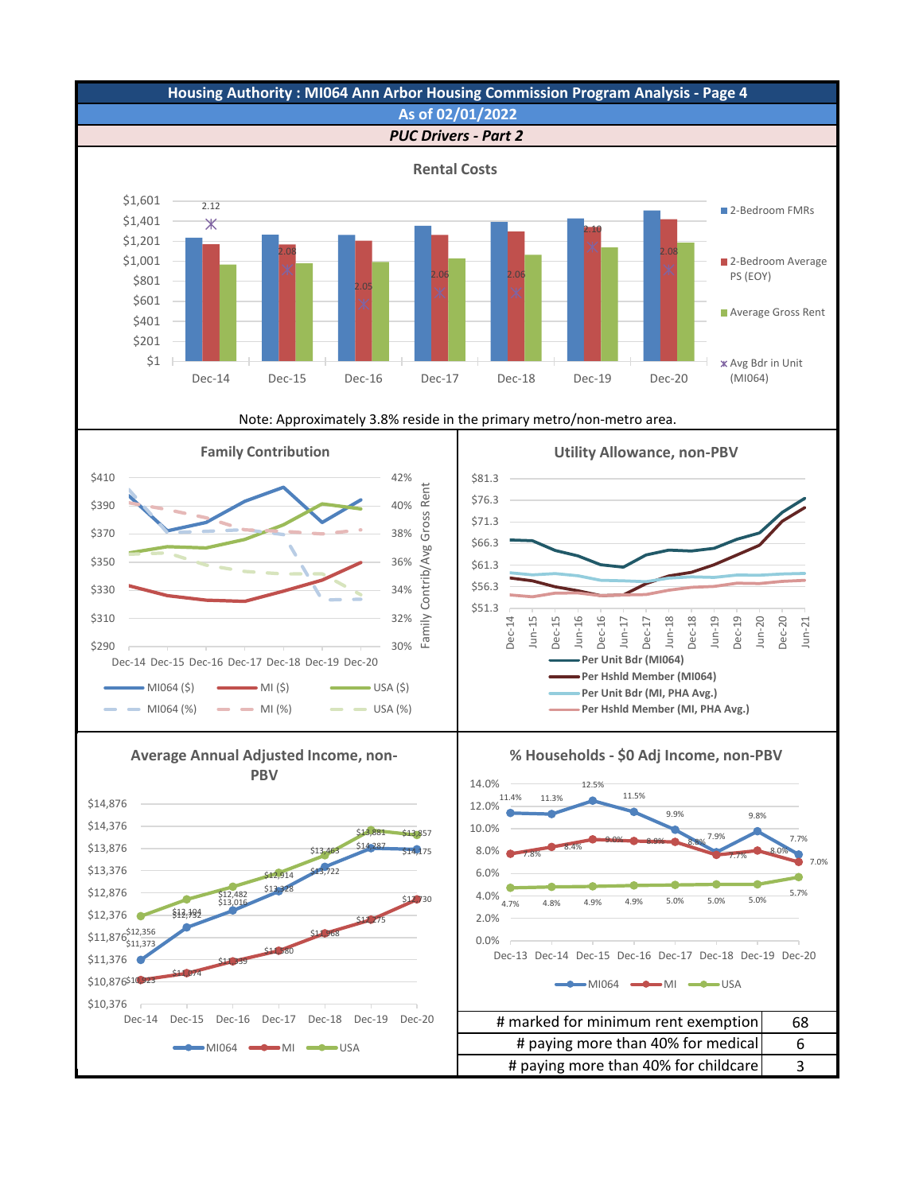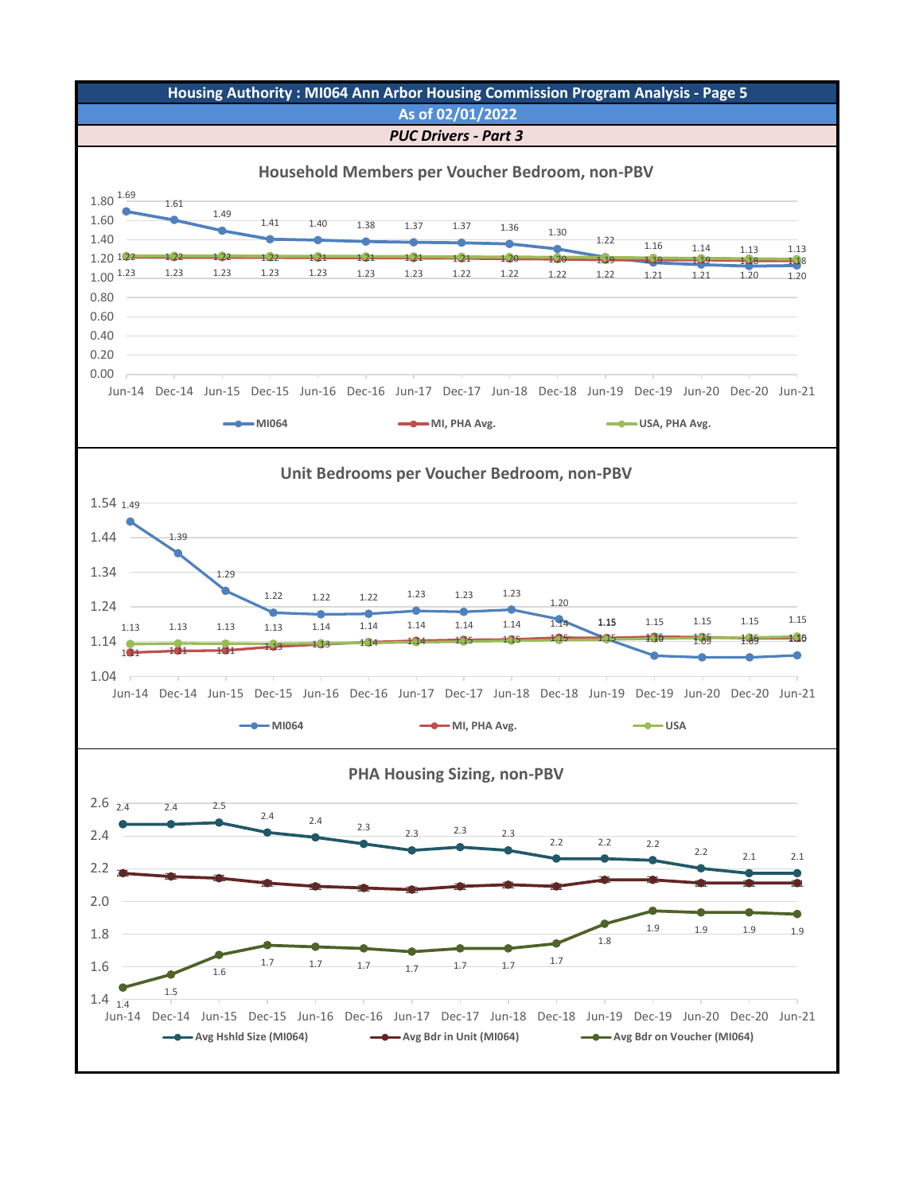